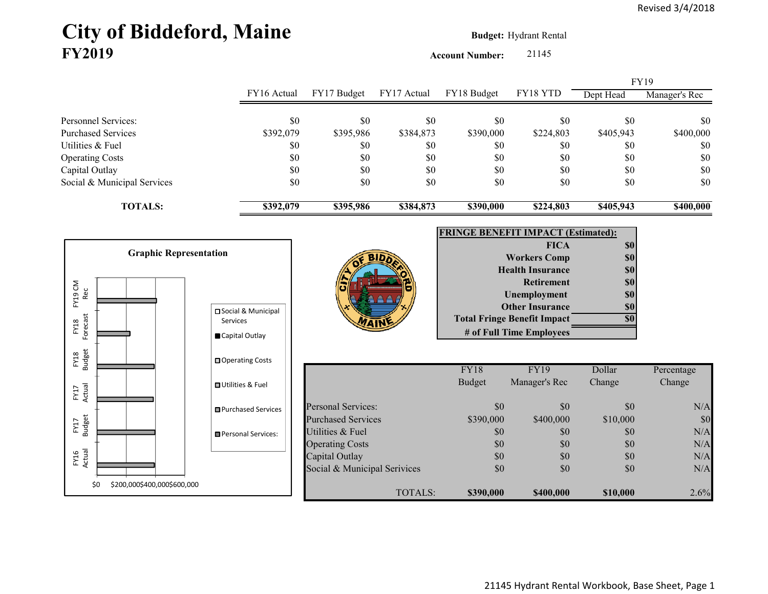## City of Biddeford, Maine **Budget: Hydrant Rental FY2019**

**Account Number:** 21145

|                                    |                              |                                            |             |                          |                                           | FY19       |               |
|------------------------------------|------------------------------|--------------------------------------------|-------------|--------------------------|-------------------------------------------|------------|---------------|
|                                    | FY16 Actual                  | FY17 Budget                                | FY17 Actual | FY18 Budget              | FY18 YTD                                  | Dept Head  | Manager's Rec |
| Personnel Services:                | \$0                          | \$0                                        | \$0         | \$0                      | \$0                                       | \$0        | \$0           |
| <b>Purchased Services</b>          | \$392,079                    | \$395,986                                  | \$384,873   | \$390,000                | \$224,803                                 | \$405,943  | \$400,000     |
| Utilities & Fuel                   | \$0                          | \$0                                        | \$0         | \$0                      | \$0                                       | \$0        | $\$0$         |
| <b>Operating Costs</b>             | \$0                          | \$0                                        | \$0         | \$0                      | \$0                                       | \$0        | $\$0$         |
| Capital Outlay                     | \$0                          | \$0                                        | \$0         | \$0                      | \$0                                       | \$0        | $\$0$         |
| Social & Municipal Services        | \$0                          | \$0                                        | \$0         | \$0                      | \$0                                       | \$0        | \$0           |
| <b>TOTALS:</b>                     | \$392,079                    | \$395,986                                  | \$384,873   | \$390,000                | \$224,803                                 | \$405,943  | \$400,000     |
|                                    |                              |                                            |             |                          | <b>FRINGE BENEFIT IMPACT (Estimated):</b> |            |               |
| <b>Graphic Representation</b>      |                              |                                            |             |                          | <b>FICA</b>                               | <b>\$0</b> |               |
|                                    |                              |                                            |             |                          | <b>Workers Comp</b>                       | \$0        |               |
|                                    |                              |                                            |             |                          | <b>Health Insurance</b>                   | \$0        |               |
|                                    |                              |                                            |             |                          | <b>Retirement</b>                         | \$0        |               |
| FY19 CM<br>Rec                     |                              |                                            |             |                          | Unemployment                              | \$0        |               |
|                                    | □ Social & Municipal         |                                            |             |                          | <b>Other Insurance</b>                    | <b>\$0</b> |               |
| Forecast<br>Services<br>FY18       |                              |                                            |             |                          | <b>Total Fringe Benefit Impact</b>        | \$0        |               |
|                                    | Capital Outlay               |                                            |             | # of Full Time Employees |                                           |            |               |
| <b>Budget</b><br>FY18              | □ Operating Costs            |                                            |             |                          |                                           |            |               |
|                                    |                              |                                            |             | <b>FY18</b>              | <b>FY19</b>                               | Dollar     | Percentage    |
|                                    | <b>OUtilities &amp; Fuel</b> |                                            |             | <b>Budget</b>            | Manager's Rec                             | Change     | Change        |
| Actual<br>FY17                     |                              |                                            |             |                          |                                           |            |               |
|                                    | Purchased Services           | <b>Personal Services:</b>                  |             | \$0                      | \$0                                       | \$0        | N/A           |
| <b>Budget</b><br>FY17              |                              | <b>Purchased Services</b>                  |             | \$390,000                | \$400,000                                 | \$10,000   | \$0           |
|                                    | Personal Services:           | Utilities & Fuel<br><b>Operating Costs</b> |             | \$0<br>\$0               | $\$0$<br>\$0                              | \$0<br>\$0 | N/A<br>N/A    |
|                                    |                              | Capital Outlay                             |             | \$0                      | \$0                                       | \$0        | N/A           |
| FY16<br>Actual                     |                              | Social & Municipal Serivices               |             | \$0                      | \$0                                       | \$0        | N/A           |
|                                    |                              |                                            |             |                          |                                           |            |               |
| \$200,000\$400,000\$600,000<br>\$0 |                              |                                            | TOTALS:     | \$390,000                | \$400,000                                 | \$10,000   | 2.6%          |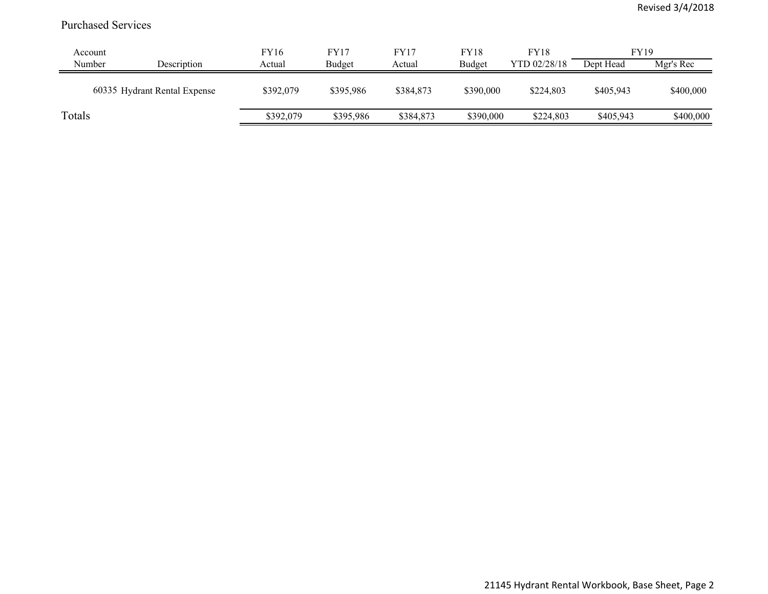## Purchased Services

| Account |                              | FY16      | <b>FY17</b> | FY17      | <b>FY18</b> | <b>FY18</b>  | FY19      |           |
|---------|------------------------------|-----------|-------------|-----------|-------------|--------------|-----------|-----------|
| Number  | Description                  | Actual    | Budget      | Actual    | Budget      | YTD 02/28/18 | Dept Head | Mgr's Rec |
|         | 60335 Hydrant Rental Expense | \$392,079 | \$395,986   | \$384,873 | \$390,000   | \$224,803    | \$405,943 | \$400,000 |
| Totals  |                              | \$392,079 | \$395,986   | \$384,873 | \$390,000   | \$224,803    | \$405,943 | \$400,000 |